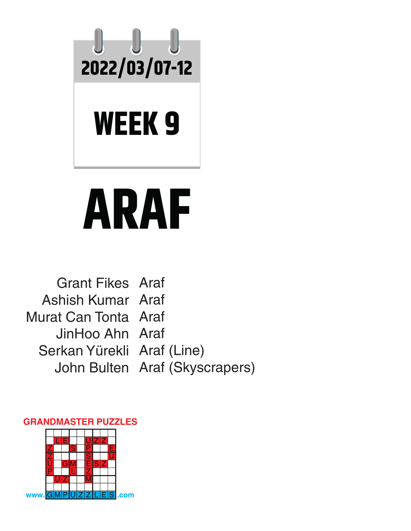

## **ARAF**

Grant Fikes Araf Ashish Kumar Araf Murat Can Tonta Araf JinHoo Ahn Araf Serkan Yürekli Araf (Line) John Bulten Araf (Skyscrapers)

## **GRANDMASTER PUZZLES**

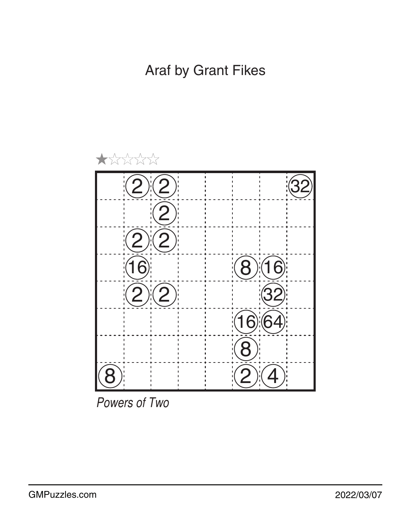

*Powers of Two*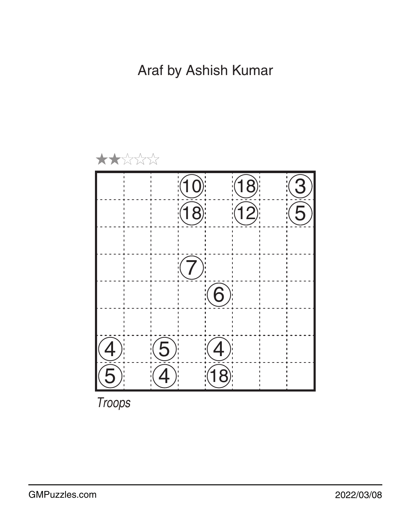Araf by Ashish Kumar

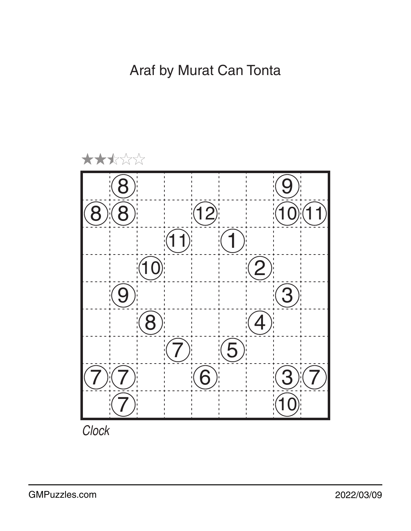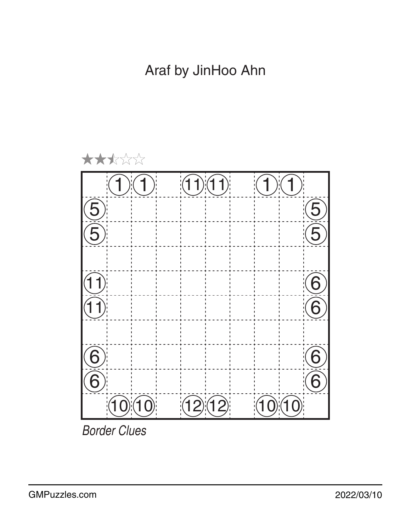

*Border Clues*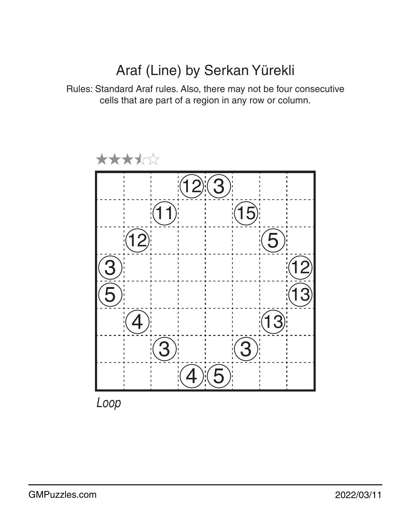## Araf (Line) by Serkan Yürekli

Rules: Standard Araf rules. Also, there may not be four consecutive cells that are part of a region in any row or column.